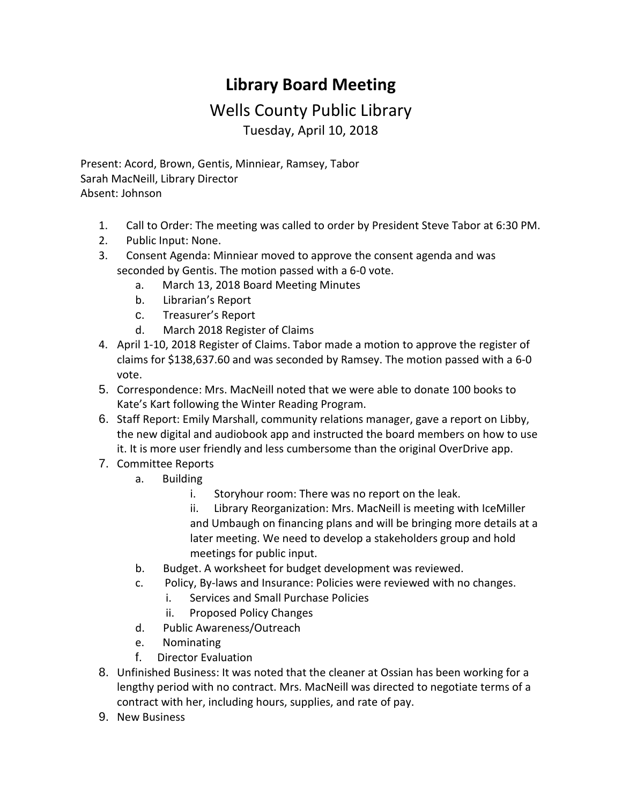## **Library Board Meeting**

## Wells County Public Library Tuesday, April 10, 2018

Present: Acord, Brown, Gentis, Minniear, Ramsey, Tabor Sarah MacNeill, Library Director Absent: Johnson

- 1. Call to Order: The meeting was called to order by President Steve Tabor at 6:30 PM.
- 2. Public Input: None.
- 3. Consent Agenda: Minniear moved to approve the consent agenda and was seconded by Gentis. The motion passed with a 6-0 vote.
	- a. March 13, 2018 [Board Meeting Minutes](http://wellscolibrary.org/board/agenda_files/Minutes.pdf)
	- b. [Librarian's Report](http://www.wellscolibrary.org/board/agenda_files/Librarian%20Report.pdf)
	- c. [Treasurer's Report](http://www.wellscolibrary.org/board/agenda_files/Financial%20Report.pdf)
	- d. March 2018 [Register of Claims](http://www.wellscolibrary.org/board/agenda_files/Previous%20Register%20Of%20Claims.pdf)
- 4. April 1-10, 2018 [Register of Claims.](http://www.wellscolibrary.org/board/agenda_files/Current%20Register%20Of%20Claims.pdf) Tabor made a motion to approve the register of claims for \$138,637.60 and was seconded by Ramsey. The motion passed with a 6-0 vote.
- 5. Correspondence: Mrs. MacNeill noted that we were able to donate 100 books to Kate's Kart following the Winter Reading Program.
- 6. Staff Report: Emily Marshall, community relations manager, gave a report on Libby, the new digital and audiobook app and instructed the board members on how to use it. It is more user friendly and less cumbersome than the original OverDrive app.
- 7. Committee Reports
	- a. Building
		- i. Storyhour room: There was no report on the leak.
		- ii. [Library](http://www.wellscolibrary.org/board/agenda_files/MKM%20Library%20Brochure%202017-11-01.pdf) [Reorganization:](http://www.wellscolibrary.org/board/agenda_files/Wells%20County%20Library%202018-03-12%20Fee%20Proposal.pdf) Mrs. MacNeill is meeting with IceMiller and Umbaugh on financing plans and will be bringing more details at a later meeting. We need to develop a stakeholders group and hold meetings for public input.
	- b. Budget. A worksheet for budget development was reviewed.
	- c. Policy, By-laws and Insurance: Policies were reviewed with no changes.
		- i. [Services and Small Purchase Policies](http://www.wellscolibrary.org/board/WCPL%20Policies/Library%20Policy/Circulation%20Policy.pdf)
		- ii. [Proposed Policy Changes](http://www.wellscolibrary.org/board/WCPL%20Policies/Library%20Policy/Credit%20Card%20Policy.docx)
	- d. Public Awareness/Outreach
	- e. Nominating
	- f. Director Evaluation
- 8. Unfinished Business: It was noted that the cleaner at Ossian has been working for a lengthy period with no contract. Mrs. MacNeill was directed to negotiate terms of a contract with her, including hours, supplies, and rate of pay.
- 9. New Business